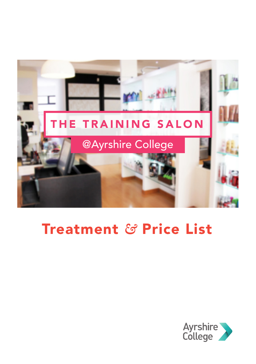

# Treatment *&* Price List

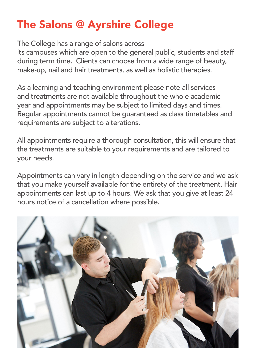# The Salons @ Ayrshire College

The College has a range of salons across

its campuses which are open to the general public, students and staff during term time. Clients can choose from a wide range of beauty, make-up, nail and hair treatments, as well as holistic therapies.

As a learning and teaching environment please note all services and treatments are not available throughout the whole academic year and appointments may be subject to limited days and times. Regular appointments cannot be guaranteed as class timetables and requirements are subject to alterations.

All appointments require a thorough consultation, this will ensure that the treatments are suitable to your requirements and are tailored to your needs.

Appointments can vary in length depending on the service and we ask that you make yourself available for the entirety of the treatment. Hair appointments can last up to 4 hours. We ask that you give at least 24 hours notice of a cancellation where possible.

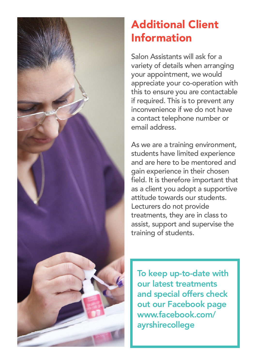

# Additional Client Information

Salon Assistants will ask for a variety of details when arranging your appointment, we would appreciate your co-operation with this to ensure you are contactable if required. This is to prevent any inconvenience if we do not have a contact telephone number or email address.

As we are a training environment, students have limited experience and are here to be mentored and gain experience in their chosen field. It is therefore important that as a client you adopt a supportive attitude towards our students. Lecturers do not provide treatments, they are in class to assist, support and supervise the training of students.

To keep up-to-date with our latest treatments and special offers check out our Facebook page www.facebook.com/ ayrshirecollege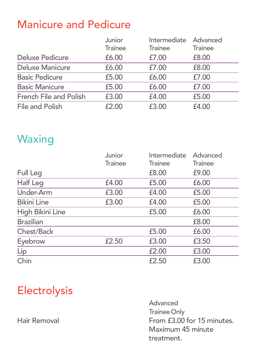### Manicure and Pedicure

|                        | Junior         | Intermediate   | Advanced       |
|------------------------|----------------|----------------|----------------|
|                        | <b>Trainee</b> | <b>Trainee</b> | <b>Trainee</b> |
| <b>Deluxe Pedicure</b> | £6.00          | £7.00          | £8.00          |
| <b>Deluxe Manicure</b> | £6.00          | £7.00          | £8.00          |
| <b>Basic Pedicure</b>  | £5.00          | £6.00          | £7.00          |
| <b>Basic Manicure</b>  | £5.00          | £6.00          | £7.00          |
| French File and Polish | £3.00          | £4.00          | £5.00          |
| File and Polish        | £2.00          | £3.00          | £4.00          |

#### **Waxing**

|                    | Junior         | Intermediate   | Advanced       |
|--------------------|----------------|----------------|----------------|
|                    | <b>Trainee</b> | <b>Trainee</b> | <b>Trainee</b> |
| Full Leg           |                | £8.00          | £9.00          |
| Half Leg           | £4.00          | £5.00          | £6.00          |
| Under-Arm          | £3.00          | £4.00          | £5.00          |
| <b>Bikini Line</b> | £3.00          | £4.00          | £5.00          |
| High Bikini Line   |                | £5.00          | £6.00          |
| <b>Brazilian</b>   |                |                | £8.00          |
| Chest/Back         |                | £5.00          | £6.00          |
| Eyebrow            | £2.50          | £3.00          | £3.50          |
| Lip                |                | £2.00          | £3.00          |
| Chin               |                | £2.50          | £3.00          |

# Electrolysis

 Advanced Trainee Only Hair Removal **From £3.00 for 15 minutes.**  Maximum 45 minute treatment.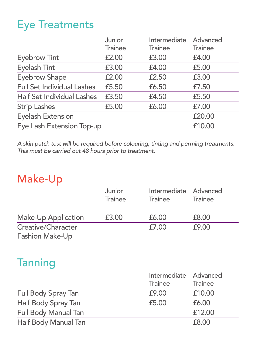# Eye Treatments

| Junior         | Intermediate              | Advanced       |
|----------------|---------------------------|----------------|
| <b>Trainee</b> | <b>Trainee</b>            | <b>Trainee</b> |
| £2.00          | £3.00                     | £4.00          |
| £3.00          | £4.00                     | £5.00          |
| £2.00          | £2.50                     | £3.00          |
| £5.50          | £6.50                     | £7.50          |
| £3.50          | £4.50                     | £5.50          |
| £5.00          | £6.00                     | £7.00          |
|                |                           | £20.00         |
|                |                           | £10.00         |
|                | Eye Lash Extension Top-up |                |

*A skin patch test will be required before colouring, tinting and perming treatments. This must be carried out 48 hours prior to treatment.*

### Make-Up

|                                       | Junior<br><b>Trainee</b> | Intermediate Advanced<br><b>Trainee</b> | Trainee |
|---------------------------------------|--------------------------|-----------------------------------------|---------|
| Make-Up Application                   | £3.00                    | £6.00                                   | £8.00   |
| Creative/Character<br>Fashion Make-Up |                          | £7.00                                   | £9.00   |

#### **Tanning**

|                      | Intermediate Advanced |         |
|----------------------|-----------------------|---------|
|                      | <b>Trainee</b>        | Trainee |
| Full Body Spray Tan  | £9.00                 | £10.00  |
| Half Body Spray Tan  | £5.00                 | £6.00   |
| Full Body Manual Tan |                       | £12.00  |
| Half Body Manual Tan |                       | £8.00   |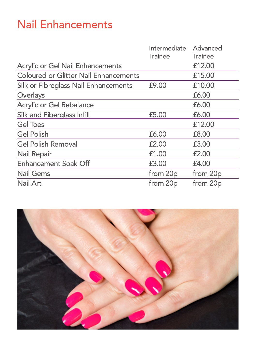### Nail Enhancements

| Intermediate   | Advanced       |
|----------------|----------------|
| <b>Trainee</b> | <b>Trainee</b> |
|                | £12.00         |
|                | £15.00         |
| £9.00          | £10.00         |
|                | £6.00          |
|                | £6.00          |
| £5.00          | £6.00          |
|                | £12.00         |
| £6.00          | £8.00          |
| £2.00          | £3.00          |
| £1.00          | £2.00          |
| £3.00          | £4.00          |
| from 20p       | from 20p       |
| from 20p       | from 20p       |
|                |                |

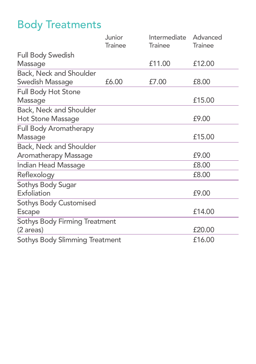# Body Treatments

|                                       | Junior<br><b>Trainee</b> | Intermediate<br><b>Trainee</b> | Advanced<br><b>Trainee</b> |
|---------------------------------------|--------------------------|--------------------------------|----------------------------|
| <b>Full Body Swedish</b>              |                          |                                |                            |
| Massage                               |                          | £11.00                         | £12.00                     |
| <b>Back, Neck and Shoulder</b>        |                          |                                |                            |
| <b>Swedish Massage</b>                | £6.00                    | £7.00                          | £8.00                      |
| <b>Full Body Hot Stone</b>            |                          |                                |                            |
| Massage                               |                          |                                | £15.00                     |
| <b>Back, Neck and Shoulder</b>        |                          |                                |                            |
| <b>Hot Stone Massage</b>              |                          |                                | £9.00                      |
| <b>Full Body Aromatherapy</b>         |                          |                                |                            |
| Massage                               |                          |                                | £15.00                     |
| <b>Back, Neck and Shoulder</b>        |                          |                                |                            |
| <b>Aromatherapy Massage</b>           |                          |                                | £9.00                      |
| Indian Head Massage                   |                          |                                | £8.00                      |
| Reflexology                           |                          |                                | £8.00                      |
| <b>Sothys Body Sugar</b>              |                          |                                |                            |
| Exfoliation                           |                          |                                | £9.00                      |
| <b>Sothys Body Customised</b>         |                          |                                |                            |
| <b>Escape</b>                         |                          |                                | £14.00                     |
| <b>Sothys Body Firming Treatment</b>  |                          |                                |                            |
| (2 areas)                             |                          |                                | £20.00                     |
| <b>Sothys Body Slimming Treatment</b> |                          |                                | £16.00                     |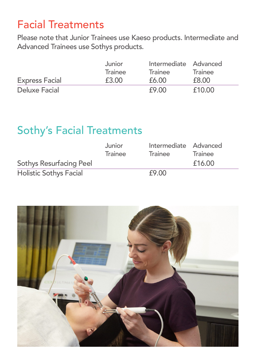#### Facial Treatments

Please note that Junior Trainees use Kaeso products. Intermediate and Advanced Trainees use Sothys products.

|                       | Junior         | Intermediate Advanced |         |
|-----------------------|----------------|-----------------------|---------|
|                       | <b>Trainee</b> | <b>Trainee</b>        | Trainee |
| <b>Express Facial</b> | £3.00          | £6.00                 | £8.00   |
| Deluxe Facial         |                | f9.00                 | f10.00  |

#### Sothy's Facial Treatments

|                                | Junior         | Intermediate Advanced |         |
|--------------------------------|----------------|-----------------------|---------|
|                                | <b>Trainee</b> | Trainee               | Trainee |
| <b>Sothys Resurfacing Peel</b> |                |                       | £16.00  |
| <b>Holistic Sothys Facial</b>  |                | £9.00                 |         |

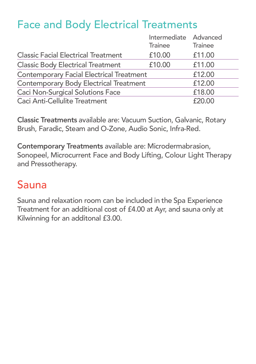#### Face and Body Electrical Treatments

|                                                 | Intermediate Advanced |                |
|-------------------------------------------------|-----------------------|----------------|
|                                                 | <b>Trainee</b>        | <b>Trainee</b> |
| <b>Classic Facial Electrical Treatment</b>      | £10.00                | £11.00         |
| <b>Classic Body Electrical Treatment</b>        | £10.00                | £11.00         |
| <b>Contemporary Facial Electrical Treatment</b> |                       | £12.00         |
| <b>Contemporary Body Electrical Treatment</b>   |                       | £12.00         |
| <b>Caci Non-Surgical Solutions Face</b>         |                       | £18.00         |
| Caci Anti-Cellulite Treatment                   |                       | £20.00         |

Classic Treatments available are: Vacuum Suction, Galvanic, Rotary Brush, Faradic, Steam and O-Zone, Audio Sonic, Infra-Red.

Contemporary Treatments available are: Microdermabrasion, Sonopeel, Microcurrent Face and Body Lifting, Colour Light Therapy and Pressotherapy.

#### Sauna

Sauna and relaxation room can be included in the Spa Experience Treatment for an additional cost of £4.00 at Ayr, and sauna only at Kilwinning for an additonal £3.00.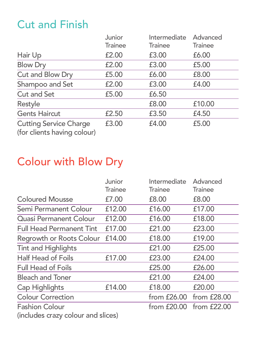### Cut and Finish

|                                                                       | Junior         | Intermediate   | Advanced       |  |
|-----------------------------------------------------------------------|----------------|----------------|----------------|--|
|                                                                       | <b>Trainee</b> | <b>Trainee</b> | <b>Trainee</b> |  |
| Hair Up                                                               | £2.00          | £3.00          | £6.00          |  |
| <b>Blow Dry</b>                                                       | £2.00          | £3.00          | £5.00          |  |
| Cut and Blow Dry                                                      | £5.00          | £6.00          | £8.00          |  |
| Shampoo and Set                                                       | £2.00          | £3.00          | £4.00          |  |
| <b>Cut and Set</b>                                                    | £5.00          | £6.50          |                |  |
| Restyle                                                               |                | £8.00          | £10.00         |  |
| <b>Gents Haircut</b>                                                  | £2.50          | £3.50          | £4.50          |  |
| <b>Cutting Service Charge</b><br>$f_{\alpha x}$ diante having calcuri | £3.00          | £4.00          | £5.00          |  |

(for clients having colour)

#### Colour with Blow Dry

|                                    | Junior<br><b>Trainee</b> | Intermediate<br><b>Trainee</b> | Advanced<br><b>Trainee</b> |
|------------------------------------|--------------------------|--------------------------------|----------------------------|
| <b>Coloured Mousse</b>             | £7.00                    | £8.00                          | £8.00                      |
| Semi Permanent Colour              | £12.00                   | £16.00                         | £17.00                     |
| <b>Quasi Permanent Colour</b>      | £12.00                   | £16.00                         | £18.00                     |
| <b>Full Head Permanent Tint</b>    | £17.00                   | £21.00                         | £23.00                     |
| Regrowth or Roots Colour           | £14.00                   | £18.00                         | £19.00                     |
| <b>Tint and Highlights</b>         |                          | £21.00                         | £25.00                     |
| <b>Half Head of Foils</b>          | £17.00                   | £23.00                         | £24.00                     |
| <b>Full Head of Foils</b>          |                          | £25.00                         | £26.00                     |
| <b>Bleach and Toner</b>            |                          | £21.00                         | £24.00                     |
| Cap Highlights                     | £14.00                   | £18.00                         | £20.00                     |
| <b>Colour Correction</b>           |                          | from £26.00 from £28.00        |                            |
| <b>Fashion Colour</b>              |                          | from $£20.00$                  | from $£22.00$              |
| (includes crazy colour and slices) |                          |                                |                            |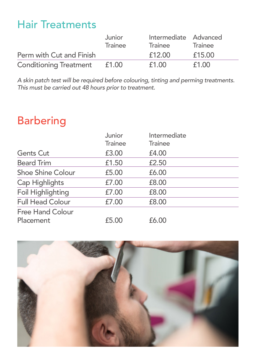### Hair Treatments

|                               | Junior         | Intermediate Advanced |         |  |
|-------------------------------|----------------|-----------------------|---------|--|
|                               | <b>Trainee</b> | <b>Trainee</b>        | Trainee |  |
| Perm with Cut and Finish      |                | £12.00                | £15.00  |  |
| <b>Conditioning Treatment</b> | £1.00          | £1.00                 | £1.00   |  |

*A skin patch test will be required before colouring, tinting and perming treatments. This must be carried out 48 hours prior to treatment.*

### Barbering

|                          | Junior         | Intermediate   |
|--------------------------|----------------|----------------|
|                          | <b>Trainee</b> | <b>Trainee</b> |
| <b>Gents Cut</b>         | £3.00          | £4.00          |
| <b>Beard Trim</b>        | £1.50          | £2.50          |
| <b>Shoe Shine Colour</b> | £5.00          | £6.00          |
| Cap Highlights           | £7.00          | £8.00          |
| Foil Highlighting        | £7.00          | £8.00          |
| <b>Full Head Colour</b>  | £7.00          | £8.00          |
| <b>Free Hand Colour</b>  |                |                |
| Placement                | £5.00          | £6.00          |